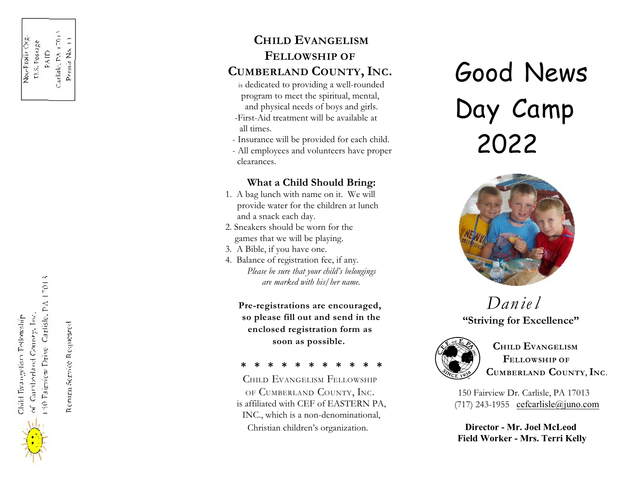Remata Service Respessed

## **CHILD EVANGELISM FELLOWSHIP OF CUMBERLAND COUNTY, INC.**

- is dedicated to providing a well-rounded program to meet the spiritual, mental, and physical needs of boys and girls. -First-Aid treatment will be available at
- all times.
- Insurance will be provided for each child.
- All employees and volunteers have proper clearances.

#### **What a Child Should Bring:**

- 1. A bag lunch with name on it. We will provide water for the children at lunch and a snack each day.
- 2. Sneakers should be worn for the games that we will be playing.
- 3. A Bible, if you have one.
- 4. Balance of registration fee, if any.  *Please be sure that your child's belongings are marked with his/her name.*

**Pre-registrations are encouraged, so please fill out and send in the enclosed registration form as soon as possible.**

#### **\* \* \* \* \* \* \* \* \* \* \***

CHILD EVANGELISM FELLOWSHIP OF CUMBERLAND COUNTY, INC. is affiliated with CEF of EASTERN PA, INC., which is a non-denominational, Christian children's organization.

# *Good News Day Camp 2022*



## *Dan ie l* **"Striving for Excellence"**



**CHILD EVANGELISM FELLOWSHIP OF CUMBERLAND COUNTY,INC.**

150 Fairview Dr. Carlisle, PA 17013  $(717)$  243-1955 cefcarlisle@juno.com

**Director - Mr. Joel McLeod Field Worker - Mrs. Terri Kelly**